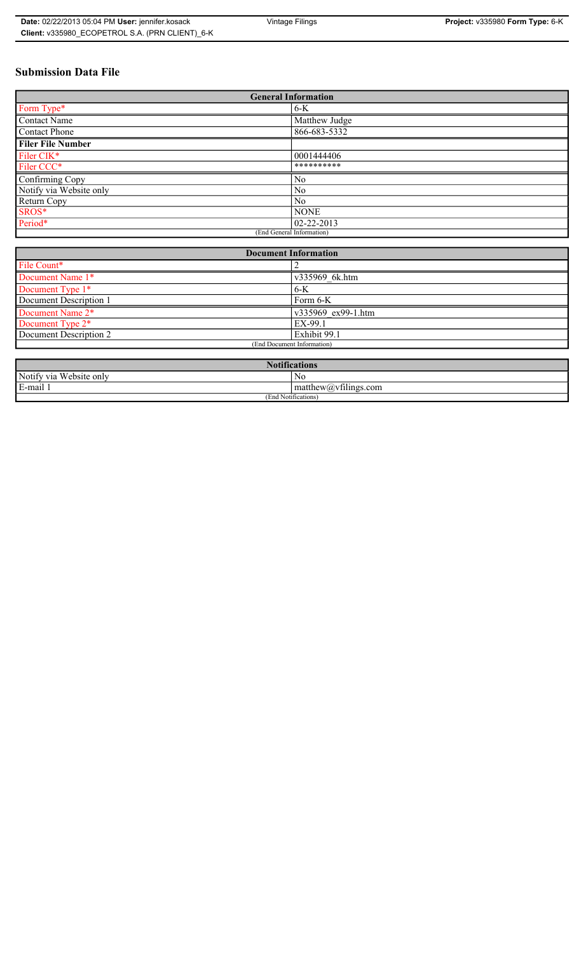# **Submission Data File**

| <b>General Information</b> |                  |
|----------------------------|------------------|
| Form Type*                 | $6 - K$          |
| Contact Name               | Matthew Judge    |
| Contact Phone              | 866-683-5332     |
| <b>Filer File Number</b>   |                  |
| Filer CIK*                 | 0001444406       |
| Filer CCC*                 | **********       |
| Confirming Copy            | N <sub>0</sub>   |
| Notify via Website only    | N <sub>0</sub>   |
| Return Copy                | No               |
| SROS*                      | <b>NONE</b>      |
| Period*                    | $02 - 22 - 2013$ |
| (End General Information)  |                  |

| <b>Document Information</b>  |                    |
|------------------------------|--------------------|
| File Count*                  |                    |
| Document Name 1*             | v335969 6k.htm     |
| Document Type 1*             | $6-K$              |
| Document Description 1       | $Form 6-K$         |
| Document Name 2*             | v335969 ex99-1.htm |
| Document Type 2 <sup>*</sup> | EX-99.1            |
| Document Description 2       | Exhibit 99.1       |
| (End Document Information)   |                    |
|                              |                    |

| <b>Notifications</b>    |                                             |
|-------------------------|---------------------------------------------|
| Notify via Website only | No                                          |
| E-mail                  | $-$<br>$ $ matthew( <i>a</i> ) vtilings.com |
| (End Notifications)     |                                             |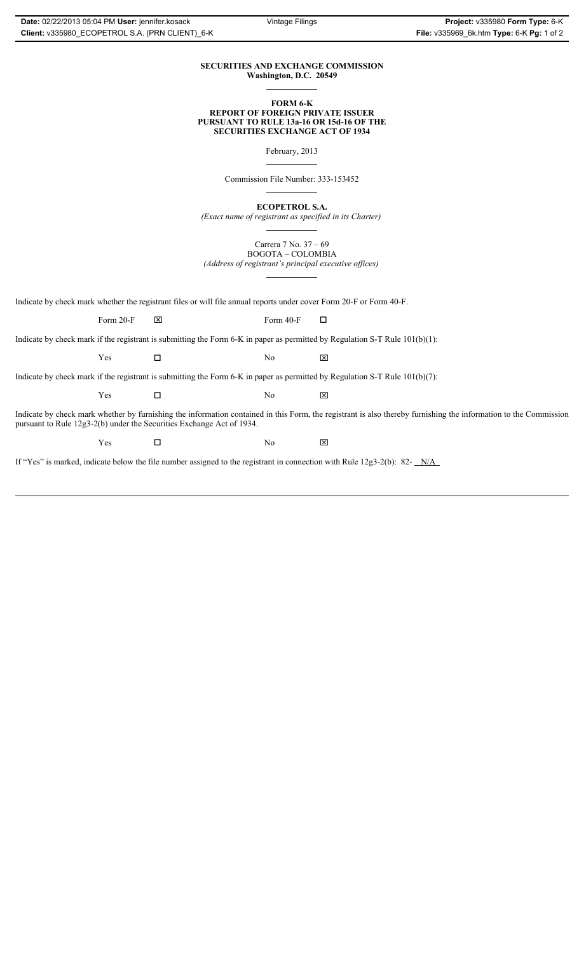### **SECURITIES AND EXCHANGE COMMISSION Washington, D.C. 20549**

#### **FORM 6-K REPORT OF FOREIGN PRIVATE ISSUER PURSUANT TO RULE 13a-16 OR 15d-16 OF THE SECURITIES EXCHANGE ACT OF 1934**

February, 2013

Commission File Number: 333-153452

**ECOPETROL S.A.**

*(Exact name of registrant as specified in its Charter)*

Carrera 7 No. 37 – 69 BOGOTA – COLOMBIA

*(Address of registrant's principal executive offices)*

Indicate by check mark whether the registrant files or will file annual reports under cover Form 20-F or Form 40-F.

Form 20-F  $\boxtimes$  Form 40-F  $\Box$ 

Indicate by check mark if the registrant is submitting the Form 6-K in paper as permitted by Regulation S-T Rule 101(b)(1):

 $Yes$   $\Box$   $No$   $X$ 

Indicate by check mark if the registrant is submitting the Form 6-K in paper as permitted by Regulation S-T Rule 101(b)(7):

 $Yes$   $\Box$   $No$   $X$ 

Indicate by check mark whether by furnishing the information contained in this Form, the registrant is also thereby furnishing the information to the Commission pursuant to Rule 12g3-2(b) under the Securities Exchange Act of 1934.

 $Yes$   $\square$ 

If "Yes" is marked, indicate below the file number assigned to the registrant in connection with Rule 12g3-2(b): 82- N/A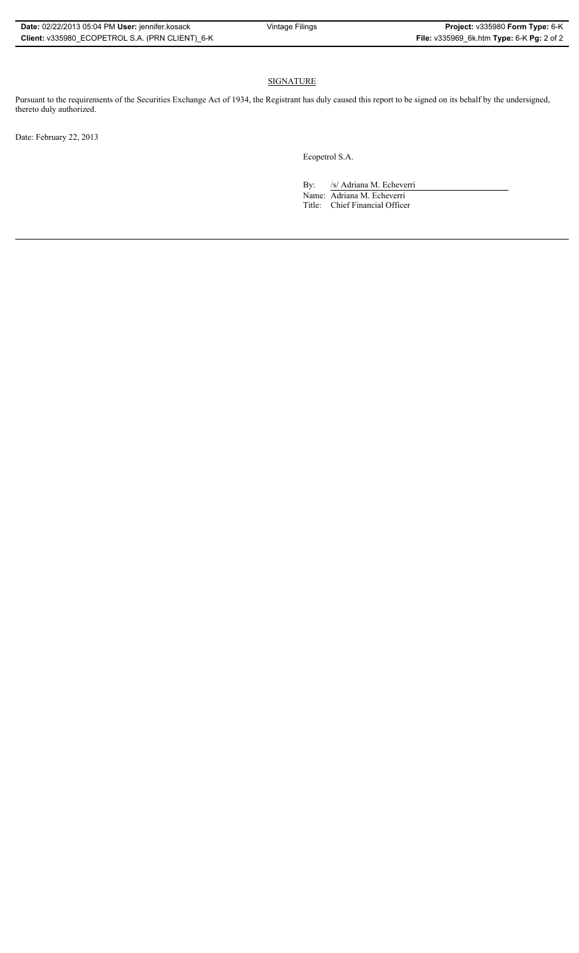## SIGNATURE

Pursuant to the requirements of the Securities Exchange Act of 1934, the Registrant has duly caused this report to be signed on its behalf by the undersigned, thereto duly authorized.

Date: February 22, 2013

Ecopetrol S.A.

By: /s/ Adriana M. Echeverri

Name: Adriana M. Echeverri Title: Chief Financial Officer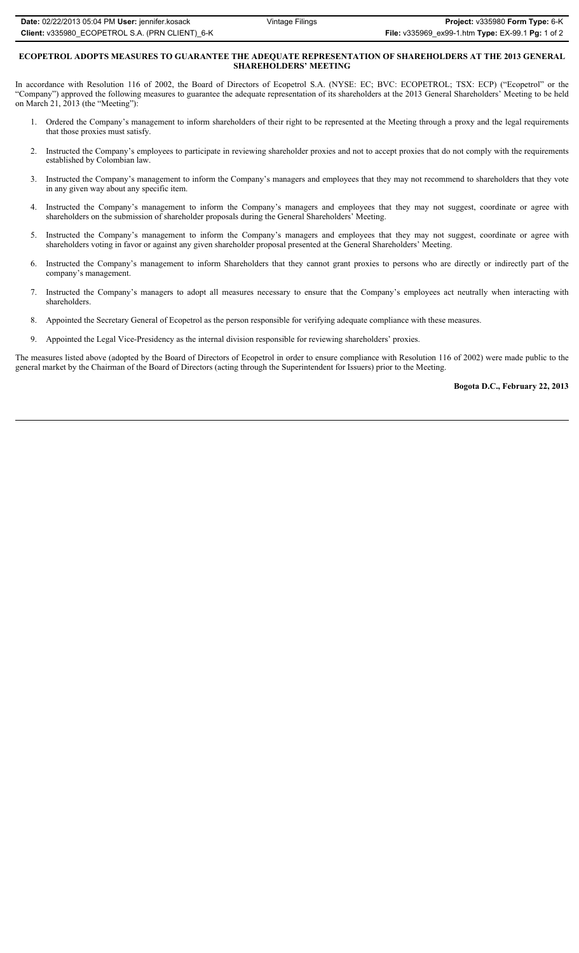### **ECOPETROL ADOPTS MEASURES TO GUARANTEE THE ADEQUATE REPRESENTATION OF SHAREHOLDERS AT THE 2013 GENERAL SHAREHOLDERS' MEETING**

In accordance with Resolution 116 of 2002, the Board of Directors of Ecopetrol S.A. (NYSE: EC; BVC: ECOPETROL; TSX: ECP) ("Ecopetrol" or the "Company") approved the following measures to guarantee the adequate representation of its shareholders at the 2013 General Shareholders' Meeting to be held on March 21, 2013 (the "Meeting"):

- 1. Ordered the Company's management to inform shareholders of their right to be represented at the Meeting through a proxy and the legal requirements that those proxies must satisfy.
- 2. Instructed the Company's employees to participate in reviewing shareholder proxies and not to accept proxies that do not comply with the requirements established by Colombian law.
- 3. Instructed the Company's management to inform the Company's managers and employees that they may not recommend to shareholders that they vote in any given way about any specific item.
- 4. Instructed the Company's management to inform the Company's managers and employees that they may not suggest, coordinate or agree with shareholders on the submission of shareholder proposals during the General Shareholders' Meeting.
- 5. Instructed the Company's management to inform the Company's managers and employees that they may not suggest, coordinate or agree with shareholders voting in favor or against any given shareholder proposal presented at the General Shareholders' Meeting.
- 6. Instructed the Company's management to inform Shareholders that they cannot grant proxies to persons who are directly or indirectly part of the company's management.
- 7. Instructed the Company's managers to adopt all measures necessary to ensure that the Company's employees act neutrally when interacting with shareholders.
- 8. Appointed the Secretary General of Ecopetrol as the person responsible for verifying adequate compliance with these measures.
- 9. Appointed the Legal Vice-Presidency as the internal division responsible for reviewing shareholders' proxies.

The measures listed above (adopted by the Board of Directors of Ecopetrol in order to ensure compliance with Resolution 116 of 2002) were made public to the general market by the Chairman of the Board of Directors (acting through the Superintendent for Issuers) prior to the Meeting.

### **Bogota D.C., February 22, 2013**